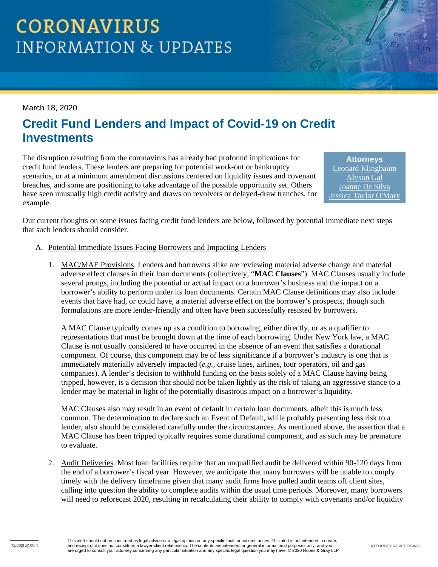# **CORONAVIRUS INFORMATION & UPDATES**

#### March 18, 2020

### **Credit Fund Lenders and Impact of Covid-19 on Credit Investments**

The disruption resulting from the coronavirus has already had profound implications for credit fund lenders. These lenders are preparing for potential work-out or bankruptcy scenarios, or at a minimum amendment discussions centered on liquidity issues and covenant breaches, and some are positioning to take advantage of the possible opportunity set. Others have seen unusually high credit activity and draws on revolvers or delayed-draw tranches, for example.

**Attorneys** [Leonard Klingbaum](https://www.ropesgray.com/en/biographies/k/leonard-klingbaum) [Alyson Gal](https://www.ropesgray.com/en/biographies/g/alyson-gal) [Joanne De Silva](https://www.ropesgray.com/en/biographies/d/joanne-de-silva) [Jessica Taylor O'Mary](https://www.ropesgray.com/en/biographies/o/jessica-taylor-omary)

Our current thoughts on some issues facing credit fund lenders are below, followed by potential immediate next steps that such lenders should consider.

- A. Potential Immediate Issues Facing Borrowers and Impacting Lenders
	- 1. MAC/MAE Provisions. Lenders and borrowers alike are reviewing material adverse change and material adverse effect clauses in their loan documents (collectively, "**MAC Clauses**"). MAC Clauses usually include several prongs, including the potential or actual impact on a borrower's business and the impact on a borrower's ability to perform under its loan documents. Certain MAC Clause definitions may also include events that have had, or could have, a material adverse effect on the borrower's prospects, though such formulations are more lender-friendly and often have been successfully resisted by borrowers.

A MAC Clause typically comes up as a condition to borrowing, either directly, or as a qualifier to representations that must be brought down at the time of each borrowing. Under New York law, a MAC Clause is not usually considered to have occurred in the absence of an event that satisfies a durational component. Of course, this component may be of less significance if a borrower's industry is one that is immediately materially adversely impacted (*e.g.*, cruise lines, airlines, tour operators, oil and gas companies). A lender's decision to withhold funding on the basis solely of a MAC Clause having being tripped, however, is a decision that should not be taken lightly as the risk of taking an aggressive stance to a lender may be material in light of the potentially disastrous impact on a borrower's liquidity.

MAC Clauses also may result in an event of default in certain loan documents, albeit this is much less common. The determination to declare such an Event of Default, while probably presenting less risk to a lender, also should be considered carefully under the circumstances. As mentioned above, the assertion that a MAC Clause has been tripped typically requires some durational component, and as such may be premature to evaluate.

2. Audit Deliveries. Most loan facilities require that an unqualified audit be delivered within 90-120 days from the end of a borrower's fiscal year. However, we anticipate that many borrowers will be unable to comply timely with the delivery timeframe given that many audit firms have pulled audit teams off client sites, calling into question the ability to complete audits within the usual time periods. Moreover, many borrowers will need to reforecast 2020, resulting in recalculating their ability to comply with covenants and/or liquidity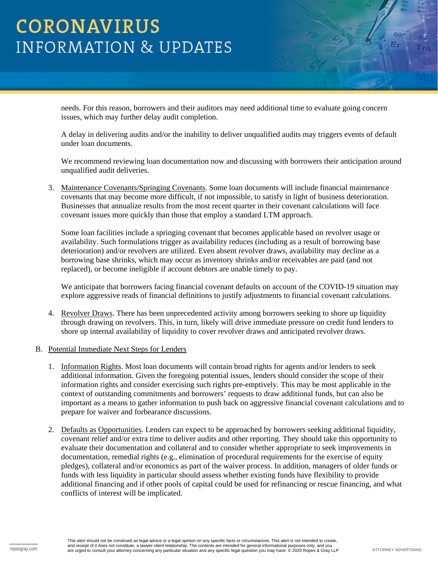## **CORONAVIRUS INFORMATION & UPDATES**

needs. For this reason, borrowers and their auditors may need additional time to evaluate going concern issues, which may further delay audit completion.

A delay in delivering audits and/or the inability to deliver unqualified audits may triggers events of default under loan documents.

We recommend reviewing loan documentation now and discussing with borrowers their anticipation around unqualified audit deliveries.

3. Maintenance Covenants/Springing Covenants. Some loan documents will include financial maintenance covenants that may become more difficult, if not impossible, to satisfy in light of business deterioration. Businesses that annualize results from the most recent quarter in their covenant calculations will face covenant issues more quickly than those that employ a standard LTM approach.

Some loan facilities include a springing covenant that becomes applicable based on revolver usage or availability. Such formulations trigger as availability reduces (including as a result of borrowing base deterioration) and/or revolvers are utilized. Even absent revolver draws, availability may decline as a borrowing base shrinks, which may occur as inventory shrinks and/or receivables are paid (and not replaced), or become ineligible if account debtors are unable timely to pay.

We anticipate that borrowers facing financial covenant defaults on account of the COVID-19 situation may explore aggressive reads of financial definitions to justify adjustments to financial covenant calculations.

- 4. Revolver Draws. There has been unprecedented activity among borrowers seeking to shore up liquidity through drawing on revolvers. This, in turn, likely will drive immediate pressure on credit fund lenders to shore up internal availability of liquidity to cover revolver draws and anticipated revolver draws.
- B. Potential Immediate Next Steps for Lenders
	- 1. Information Rights. Most loan documents will contain broad rights for agents and/or lenders to seek additional information. Given the foregoing potential issues, lenders should consider the scope of their information rights and consider exercising such rights pre-emptively. This may be most applicable in the context of outstanding commitments and borrowers' requests to draw additional funds, but can also be important as a means to gather information to push back on aggressive financial covenant calculations and to prepare for waiver and forbearance discussions.
	- 2. Defaults as Opportunities. Lenders can expect to be approached by borrowers seeking additional liquidity, covenant relief and/or extra time to deliver audits and other reporting. They should take this opportunity to evaluate their documentation and collateral and to consider whether appropriate to seek improvements in documentation, remedial rights (e.g., elimination of procedural requirements for the exercise of equity pledges), collateral and/or economics as part of the waiver process. In addition, managers of older funds or funds with less liquidity in particular should assess whether existing funds have flexibility to provide additional financing and if other pools of capital could be used for refinancing or rescue financing, and what conflicts of interest will be implicated.